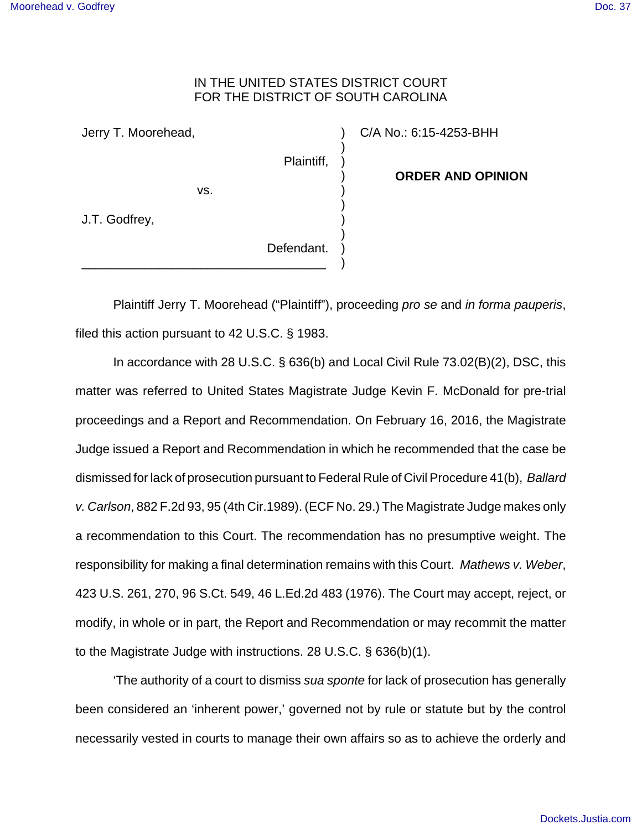## IN THE UNITED STATES DISTRICT COURT FOR THE DISTRICT OF SOUTH CAROLINA

) ) ) ) ) ) ) ) ) )

Jerry T. Moorehead,

vs.

J.T. Godfrey,

Defendant. \_\_\_\_\_\_\_\_\_\_\_\_\_\_\_\_\_\_\_\_\_\_\_\_\_\_\_\_\_\_\_\_\_\_\_

Plaintiff,

C/A No.: 6:15-4253-BHH

**ORDER AND OPINION**

Plaintiff Jerry T. Moorehead ("Plaintiff"), proceeding pro se and in forma pauperis, filed this action pursuant to 42 U.S.C. § 1983.

In accordance with 28 U.S.C. § 636(b) and Local Civil Rule 73.02(B)(2), DSC, this matter was referred to United States Magistrate Judge Kevin F. McDonald for pre-trial proceedings and a Report and Recommendation. On February 16, 2016, the Magistrate Judge issued a Report and Recommendation in which he recommended that the case be dismissed for lack of prosecution pursuant to Federal Rule of Civil Procedure 41(b), Ballard v. Carlson, 882 F.2d 93, 95 (4th Cir.1989). (ECF No. 29.) The Magistrate Judge makes only a recommendation to this Court. The recommendation has no presumptive weight. The responsibility for making a final determination remains with this Court. Mathews v. Weber, 423 U.S. 261, 270, 96 S.Ct. 549, 46 L.Ed.2d 483 (1976). The Court may accept, reject, or modify, in whole or in part, the Report and Recommendation or may recommit the matter to the Magistrate Judge with instructions. 28 U.S.C. § 636(b)(1).

'The authority of a court to dismiss sua sponte for lack of prosecution has generally been considered an 'inherent power,' governed not by rule or statute but by the control necessarily vested in courts to manage their own affairs so as to achieve the orderly and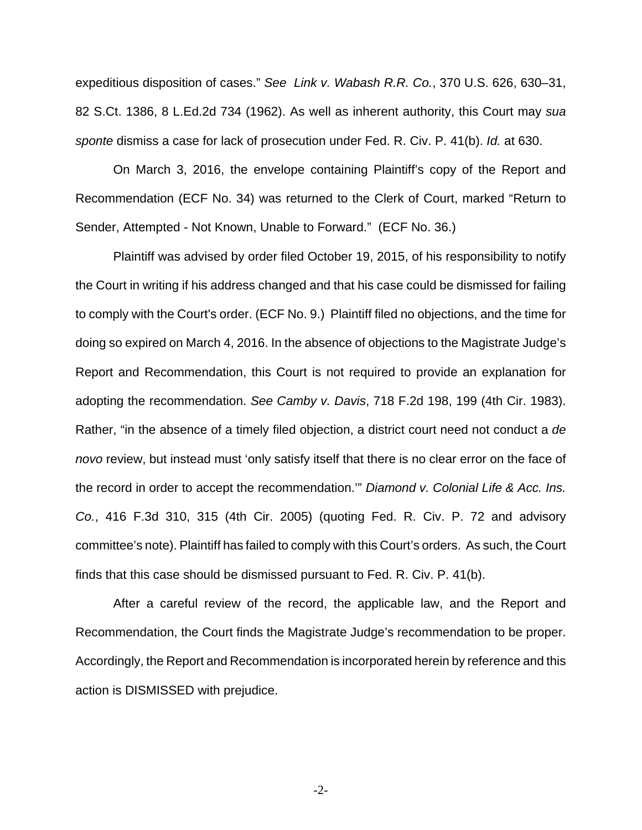expeditious disposition of cases." See Link v. Wabash R.R. Co., 370 U.S. 626, 630–31, 82 S.Ct. 1386, 8 L.Ed.2d 734 (1962). As well as inherent authority, this Court may sua sponte dismiss a case for lack of prosecution under Fed. R. Civ. P. 41(b). Id. at 630.

On March 3, 2016, the envelope containing Plaintiff's copy of the Report and Recommendation (ECF No. 34) was returned to the Clerk of Court, marked "Return to Sender, Attempted - Not Known, Unable to Forward." (ECF No. 36.)

Plaintiff was advised by order filed October 19, 2015, of his responsibility to notify the Court in writing if his address changed and that his case could be dismissed for failing to comply with the Court's order. (ECF No. 9.) Plaintiff filed no objections, and the time for doing so expired on March 4, 2016. In the absence of objections to the Magistrate Judge's Report and Recommendation, this Court is not required to provide an explanation for adopting the recommendation. See Camby v. Davis, 718 F.2d 198, 199 (4th Cir. 1983). Rather, "in the absence of a timely filed objection, a district court need not conduct a de novo review, but instead must 'only satisfy itself that there is no clear error on the face of the record in order to accept the recommendation.'" Diamond v. Colonial Life & Acc. Ins. Co., 416 F.3d 310, 315 (4th Cir. 2005) (quoting Fed. R. Civ. P. 72 and advisory committee's note). Plaintiff has failed to comply with this Court's orders. As such, the Court finds that this case should be dismissed pursuant to Fed. R. Civ. P. 41(b).

After a careful review of the record, the applicable law, and the Report and Recommendation, the Court finds the Magistrate Judge's recommendation to be proper. Accordingly, the Report and Recommendation is incorporated herein by reference and this action is DISMISSED with prejudice.

-2-